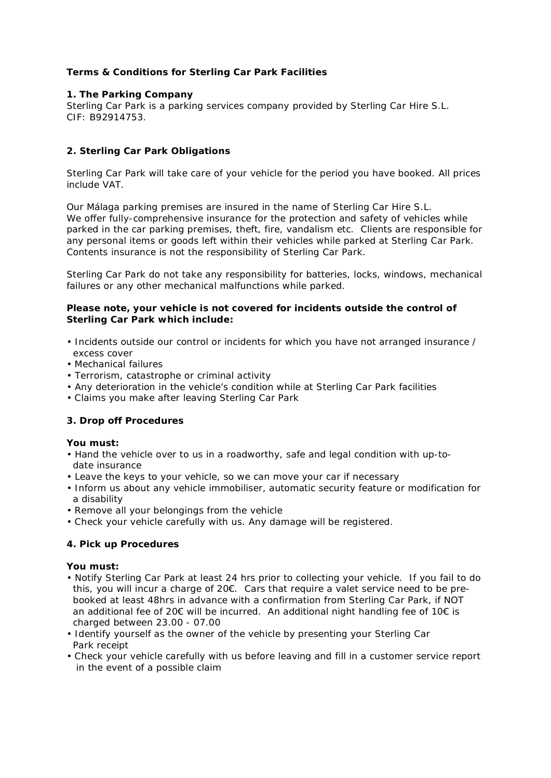# **Terms & Conditions for Sterling Car Park Facilities**

### **1. The Parking Company**

Sterling Car Park is a parking services company provided by Sterling Car Hire S.L. CIF: B92914753.

# **2. Sterling Car Park Obligations**

Sterling Car Park will take care of your vehicle for the period you have booked. All prices include VAT.

Our Málaga parking premises are insured in the name of Sterling Car Hire S.L. We offer fully-comprehensive insurance for the protection and safety of vehicles while parked in the car parking premises, theft, fire, vandalism etc. Clients are responsible for any personal items or goods left within their vehicles while parked at Sterling Car Park. Contents insurance is not the responsibility of Sterling Car Park.

Sterling Car Park do not take any responsibility for batteries, locks, windows, mechanical failures or any other mechanical malfunctions while parked.

### **Please note, your vehicle is not covered for incidents outside the control of Sterling Car Park which include:**

- Incidents outside our control or incidents for which you have not arranged insurance / excess cover
- Mechanical failures
- Terrorism, catastrophe or criminal activity
- Any deterioration in the vehicle's condition while at Sterling Car Park facilities
- Claims you make after leaving Sterling Car Park

# **3. Drop off Procedures**

#### **You must:**

- Hand the vehicle over to us in a roadworthy, safe and legal condition with up-to date insurance
- Leave the keys to your vehicle, so we can move your car if necessary
- Inform us about any vehicle immobiliser, automatic security feature or modification for a disability
- Remove all your belongings from the vehicle
- Check your vehicle carefully with us. Any damage will be registered.

# **4. Pick up Procedures**

#### **You must:**

- Notify Sterling Car Park at least 24 hrs prior to collecting your vehicle. If you fail to do this, you will incur a charge of  $20 $\epsilon$ . Cars that require a valet service need to be pre$  booked at least 48hrs in advance with a confirmation from Sterling Car Park, if NOT an additional fee of 20 $\epsilon$  will be incurred. An additional night handling fee of 10 $\epsilon$  is charged between 23.00 - 07.00
- Identify yourself as the owner of the vehicle by presenting your Sterling Car Park receipt
- Check your vehicle carefully with us before leaving and fill in a customer service report in the event of a possible claim